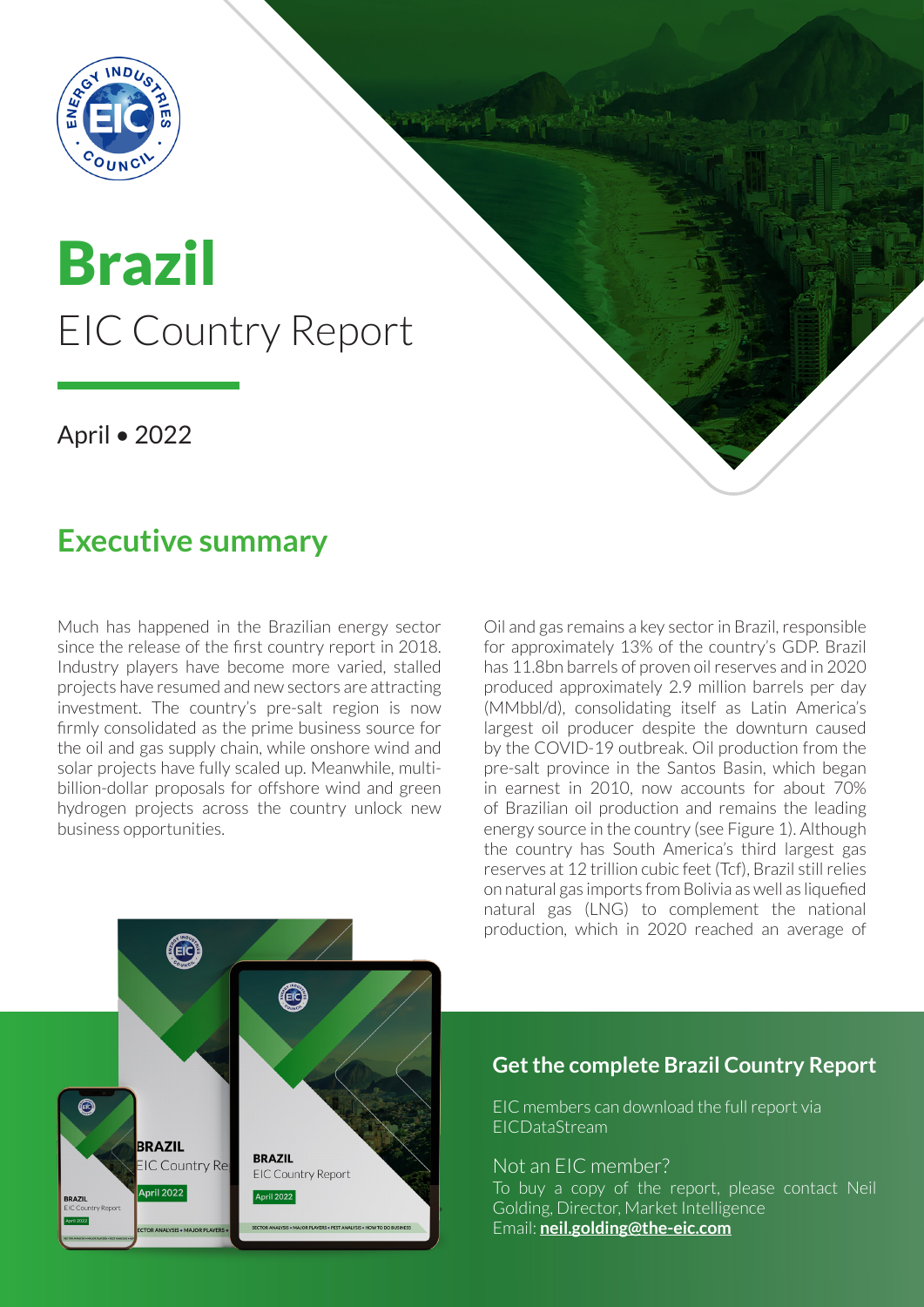

# Brazil EIC Country Report

### April • 2022

## **Executive summary**

Much has happened in the Brazilian energy sector since the release of the first country report in 2018. Industry players have become more varied, stalled projects have resumed and new sectors are attracting investment. The country's pre-salt region is now firmly consolidated as the prime business source for the oil and gas supply chain, while onshore wind and solar projects have fully scaled up. Meanwhile, multibillion-dollar proposals for offshore wind and green hydrogen projects across the country unlock new business opportunities.

Oil and gas remains a key sector in Brazil, responsible for approximately 13% of the country's GDP. Brazil has 11.8bn barrels of proven oil reserves and in 2020 produced approximately 2.9 million barrels per day (MMbbl/d), consolidating itself as Latin America's largest oil producer despite the downturn caused by the COVID-19 outbreak. Oil production from the pre-salt province in the Santos Basin, which began in earnest in 2010, now accounts for about 70% of Brazilian oil production and remains the leading energy source in the country (see Figure 1). Although the country has South America's third largest gas reserves at 12 trillion cubic feet (Tcf), Brazil still relies on natural gas imports from Bolivia as well as liquefied natural gas (LNG) to complement the national production, which in 2020 reached an average of



#### **Get the complete Brazil Country Report**

EIC members can download the full report via EICDataStream

#### Not an EIC member?

To buy a copy of the report, please contact Neil Golding, Director, Market Intelligence Email: **[neil.golding@the-eic.com](mailto:neil.golding@the-eic.com)**